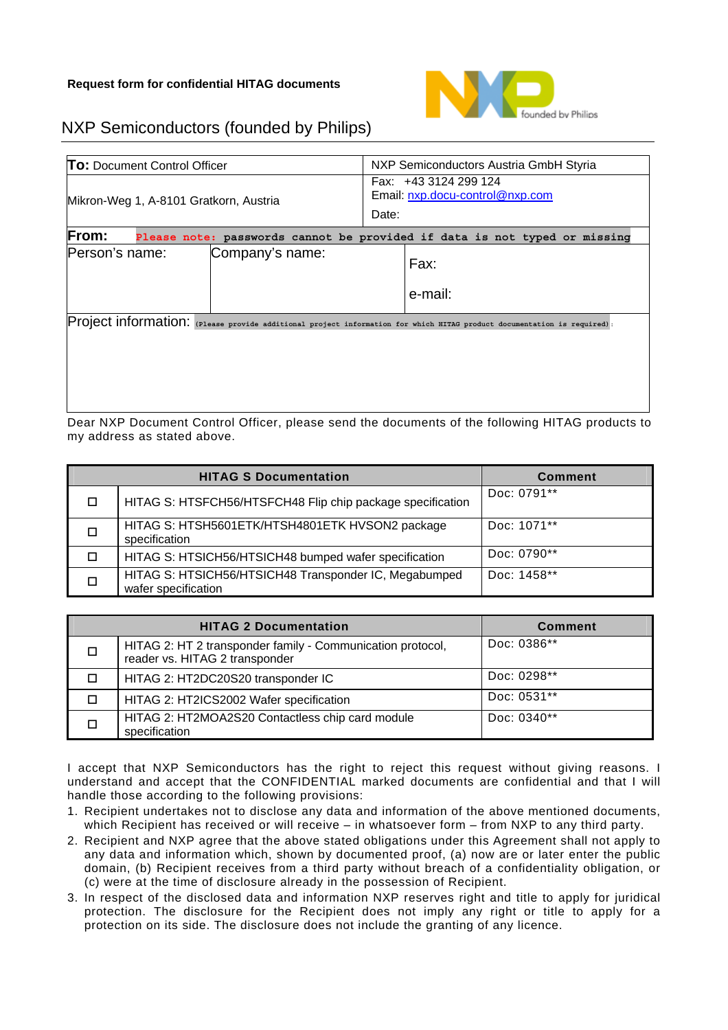

## NXP Semiconductors (founded by Philips)

| <b>To:</b> Document Control Officer                                                       |  | NXP Semiconductors Austria GmbH Styria                            |                                                                                                                         |  |  |  |
|-------------------------------------------------------------------------------------------|--|-------------------------------------------------------------------|-------------------------------------------------------------------------------------------------------------------------|--|--|--|
| Mikron-Weg 1, A-8101 Gratkorn, Austria                                                    |  | Fax: +43 3124 299 124<br>Email: nxp.docu-control@nxp.com<br>Date: |                                                                                                                         |  |  |  |
| <b>From:</b><br>Please note: passwords cannot be provided if data is not typed or missing |  |                                                                   |                                                                                                                         |  |  |  |
| Person's name:<br>Company's name:                                                         |  | Fax:                                                              |                                                                                                                         |  |  |  |
|                                                                                           |  | e-mail:                                                           |                                                                                                                         |  |  |  |
|                                                                                           |  |                                                                   | Project information: (Please provide additional project information for which HITAG product documentation is required): |  |  |  |

Dear NXP Document Control Officer, please send the documents of the following HITAG products to my address as stated above.

| <b>HITAG S Documentation</b> |                                                                              | <b>Comment</b> |
|------------------------------|------------------------------------------------------------------------------|----------------|
| $\Box$                       | HITAG S: HTSFCH56/HTSFCH48 Flip chip package specification                   | Doc: 0791**    |
| $\Box$                       | HITAG S: HTSH5601ETK/HTSH4801ETK HVSON2 package<br>specification             | Doc: 1071**    |
| П                            | HITAG S: HTSICH56/HTSICH48 bumped wafer specification                        | Doc: 0790**    |
| □                            | HITAG S: HTSICH56/HTSICH48 Transponder IC, Megabumped<br>wafer specification | Doc: 1458**    |

| <b>HITAG 2 Documentation</b> |                                                                                              | <b>Comment</b> |
|------------------------------|----------------------------------------------------------------------------------------------|----------------|
|                              | HITAG 2: HT 2 transponder family - Communication protocol,<br>reader vs. HITAG 2 transponder | Doc: 0386**    |
|                              | HITAG 2: HT2DC20S20 transponder IC                                                           | Doc: 0298**    |
|                              | HITAG 2: HT2ICS2002 Wafer specification                                                      | Doc: 0531**    |
|                              | HITAG 2: HT2MOA2S20 Contactless chip card module<br>specification                            | Doc: 0340**    |

I accept that NXP Semiconductors has the right to reject this request without giving reasons. I understand and accept that the CONFIDENTIAL marked documents are confidential and that I will handle those according to the following provisions:

- 1. Recipient undertakes not to disclose any data and information of the above mentioned documents, which Recipient has received or will receive – in whatsoever form – from NXP to any third party.
- 2. Recipient and NXP agree that the above stated obligations under this Agreement shall not apply to any data and information which, shown by documented proof, (a) now are or later enter the public domain, (b) Recipient receives from a third party without breach of a confidentiality obligation, or (c) were at the time of disclosure already in the possession of Recipient.
- 3. In respect of the disclosed data and information NXP reserves right and title to apply for juridical protection. The disclosure for the Recipient does not imply any right or title to apply for a protection on its side. The disclosure does not include the granting of any licence.